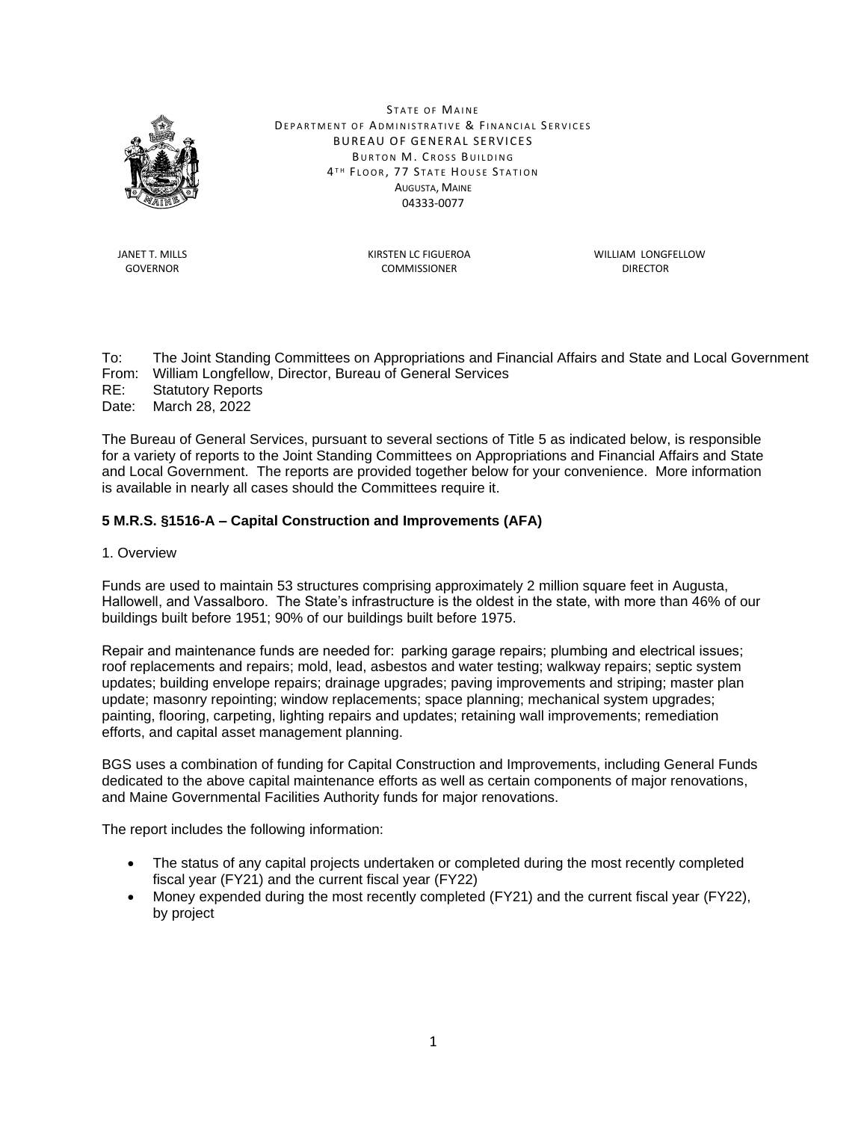

STATE OF MAINE DEPARTMENT OF ADMINISTRATIVE & FINANCIAL SERVICES BUREAU OF GENERAL SERVICES BURTON M. CROSS BUILDING 4TH FLOOR, 77 STATE HOUSE STATION AUGUSTA, MAINE 04333-0077

GOVERNOR DIRECTOR COMMISSIONER COMMISSIONER DIRECTOR

JANET T. MILLS KIRSTEN LC FIGUEROA WILLIAM LONGFELLOW

To: The Joint Standing Committees on Appropriations and Financial Affairs and State and Local Government From: William Longfellow, Director, Bureau of General Services RE: Statutory Reports

Date: March 28, 2022

The Bureau of General Services, pursuant to several sections of Title 5 as indicated below, is responsible for a variety of reports to the Joint Standing Committees on Appropriations and Financial Affairs and State and Local Government. The reports are provided together below for your convenience. More information is available in nearly all cases should the Committees require it.

## **5 M.R.S. §1516-A – Capital Construction and Improvements (AFA)**

1. Overview

Funds are used to maintain 53 structures comprising approximately 2 million square feet in Augusta, Hallowell, and Vassalboro. The State's infrastructure is the oldest in the state, with more than 46% of our buildings built before 1951; 90% of our buildings built before 1975.

Repair and maintenance funds are needed for:  parking garage repairs; plumbing and electrical issues; roof replacements and repairs; mold, lead, asbestos and water testing; walkway repairs; septic system updates; building envelope repairs; drainage upgrades; paving improvements and striping; master plan update; masonry repointing; window replacements; space planning; mechanical system upgrades; painting, flooring, carpeting, lighting repairs and updates; retaining wall improvements; remediation efforts, and capital asset management planning.

BGS uses a combination of funding for Capital Construction and Improvements, including General Funds dedicated to the above capital maintenance efforts as well as certain components of major renovations, and Maine Governmental Facilities Authority funds for major renovations.

The report includes the following information:

- The status of any capital projects undertaken or completed during the most recently completed fiscal year (FY21) and the current fiscal year (FY22)
- Money expended during the most recently completed (FY21) and the current fiscal year (FY22), by project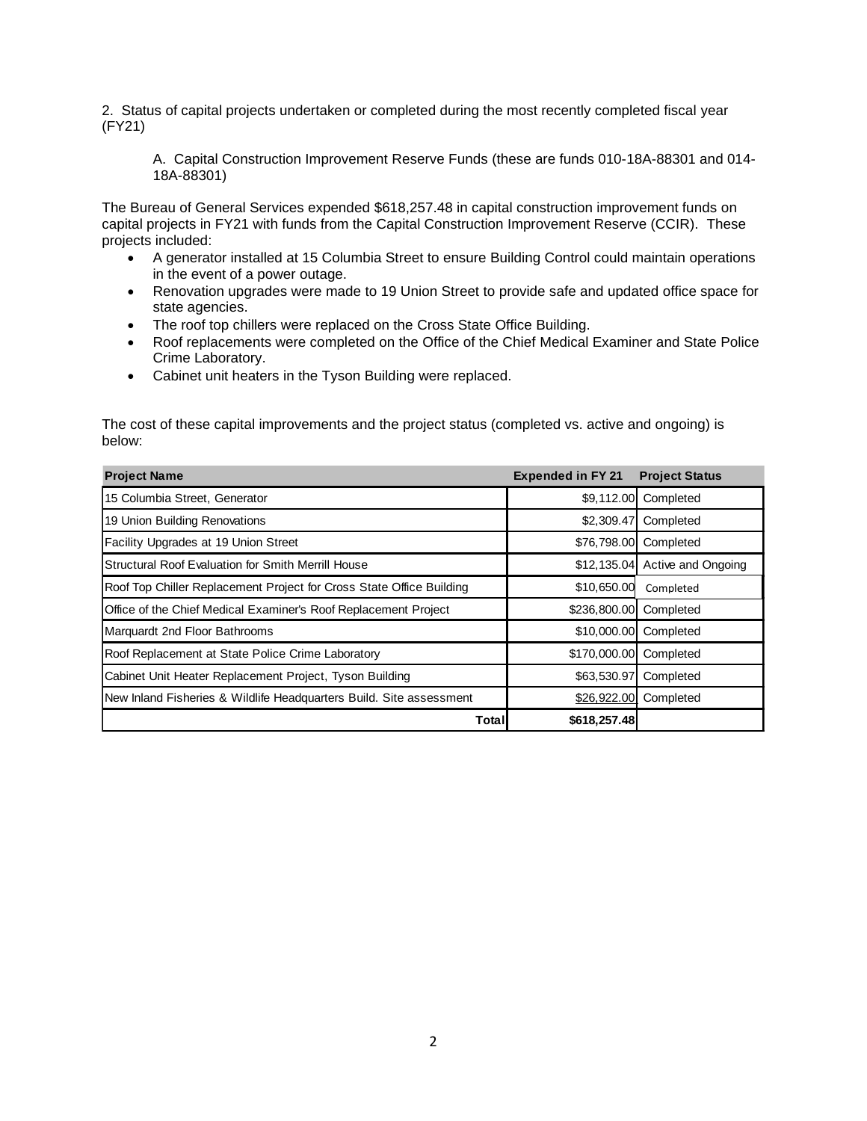2. Status of capital projects undertaken or completed during the most recently completed fiscal year (FY21)

A. Capital Construction Improvement Reserve Funds (these are funds 010-18A-88301 and 014- 18A-88301)

The Bureau of General Services expended \$618,257.48 in capital construction improvement funds on capital projects in FY21 with funds from the Capital Construction Improvement Reserve (CCIR). These projects included:

- A generator installed at 15 Columbia Street to ensure Building Control could maintain operations in the event of a power outage.
- Renovation upgrades were made to 19 Union Street to provide safe and updated office space for state agencies.
- The roof top chillers were replaced on the Cross State Office Building.
- Roof replacements were completed on the Office of the Chief Medical Examiner and State Police Crime Laboratory.
- Cabinet unit heaters in the Tyson Building were replaced.

The cost of these capital improvements and the project status (completed vs. active and ongoing) is below:

| <b>Project Name</b>                                                  | <b>Expended in FY 21</b> | <b>Project Status</b>          |
|----------------------------------------------------------------------|--------------------------|--------------------------------|
| 15 Columbia Street, Generator                                        | \$9,112.00               | Completed                      |
| 19 Union Building Renovations                                        | \$2,309.47               | Completed                      |
| Facility Upgrades at 19 Union Street                                 | \$76,798.00              | Completed                      |
| Structural Roof Evaluation for Smith Merrill House                   |                          | \$12,135.04 Active and Ongoing |
| Roof Top Chiller Replacement Project for Cross State Office Building | \$10,650.00              | Completed                      |
| Office of the Chief Medical Examiner's Roof Replacement Project      | \$236,800.00             | Completed                      |
| Marquardt 2nd Floor Bathrooms                                        | \$10,000.00              | Completed                      |
| Roof Replacement at State Police Crime Laboratory                    | \$170,000.00             | Completed                      |
| Cabinet Unit Heater Replacement Project, Tyson Building              | \$63,530.97              | Completed                      |
| New Inland Fisheries & Wildlife Headquarters Build. Site assessment  | \$26,922.00              | Completed                      |
| Total                                                                | \$618,257.48             |                                |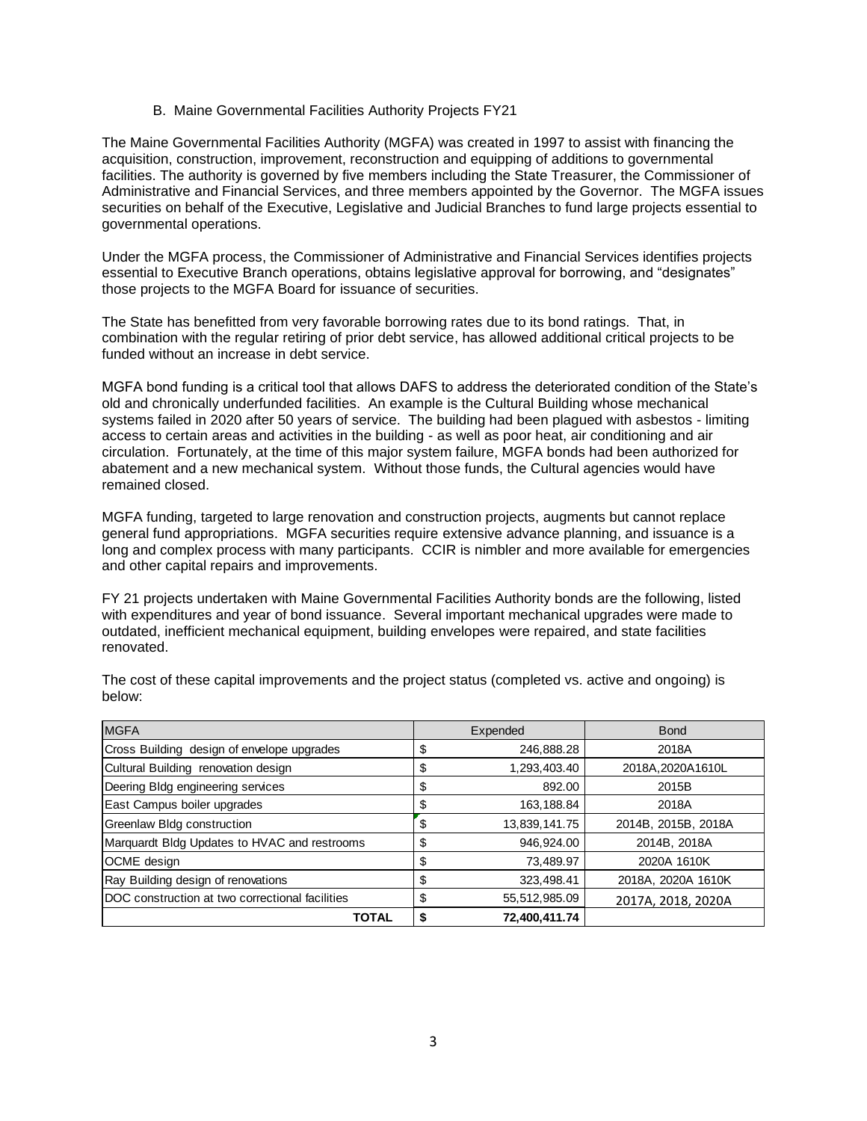#### B. Maine Governmental Facilities Authority Projects FY21

The Maine Governmental Facilities Authority (MGFA) was created in 1997 to assist with financing the acquisition, construction, improvement, reconstruction and equipping of additions to governmental facilities. The authority is governed by five members including the State Treasurer, the Commissioner of Administrative and Financial Services, and three members appointed by the Governor. The MGFA issues securities on behalf of the Executive, Legislative and Judicial Branches to fund large projects essential to governmental operations.

Under the MGFA process, the Commissioner of Administrative and Financial Services identifies projects essential to Executive Branch operations, obtains legislative approval for borrowing, and "designates" those projects to the MGFA Board for issuance of securities.

The State has benefitted from very favorable borrowing rates due to its bond ratings. That, in combination with the regular retiring of prior debt service, has allowed additional critical projects to be funded without an increase in debt service.

MGFA bond funding is a critical tool that allows DAFS to address the deteriorated condition of the State's old and chronically underfunded facilities. An example is the Cultural Building whose mechanical systems failed in 2020 after 50 years of service. The building had been plagued with asbestos - limiting access to certain areas and activities in the building - as well as poor heat, air conditioning and air circulation. Fortunately, at the time of this major system failure, MGFA bonds had been authorized for abatement and a new mechanical system. Without those funds, the Cultural agencies would have remained closed.

MGFA funding, targeted to large renovation and construction projects, augments but cannot replace general fund appropriations. MGFA securities require extensive advance planning, and issuance is a long and complex process with many participants. CCIR is nimbler and more available for emergencies and other capital repairs and improvements.

FY 21 projects undertaken with Maine Governmental Facilities Authority bonds are the following, listed with expenditures and year of bond issuance. Several important mechanical upgrades were made to outdated, inefficient mechanical equipment, building envelopes were repaired, and state facilities renovated.

| <b>MGFA</b>                                     | Expended |               | <b>Bond</b>         |  |
|-------------------------------------------------|----------|---------------|---------------------|--|
| Cross Building design of envelope upgrades      | \$       | 246,888.28    | 2018A               |  |
| Cultural Building renovation design             | \$       | 1,293,403.40  | 2018A, 2020A1610L   |  |
| Deering Bldg engineering services               | S        | 892.00        | 2015B               |  |
| East Campus boiler upgrades                     |          | 163,188.84    | 2018A               |  |
| Greenlaw Bldg construction                      | \$       | 13,839,141.75 | 2014B, 2015B, 2018A |  |
| Marquardt Bldg Updates to HVAC and restrooms    | \$       | 946,924.00    | 2014B, 2018A        |  |
| OCME design                                     | \$       | 73,489.97     | 2020A 1610K         |  |
| Ray Building design of renovations              | S        | 323,498.41    | 2018A, 2020A 1610K  |  |
| DOC construction at two correctional facilities | \$       | 55,512,985.09 | 2017A, 2018, 2020A  |  |
| TOTAL                                           |          | 72,400,411.74 |                     |  |

The cost of these capital improvements and the project status (completed vs. active and ongoing) is below: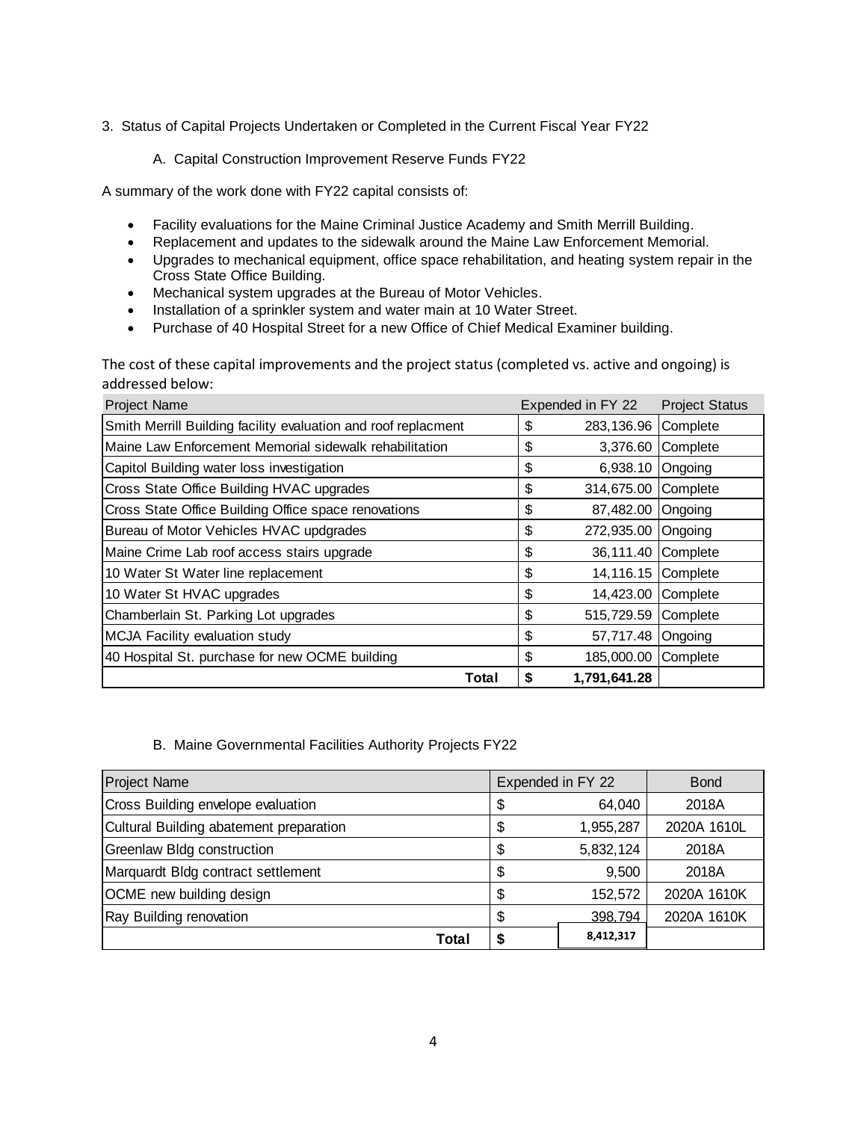- 3. Status of Capital Projects Undertaken or Completed in the Current Fiscal Year FY22
	- A. Capital Construction Improvement Reserve Funds FY22

A summary of the work done with FY22 capital consists of:

- Facility evaluations for the Maine Criminal Justice Academy and Smith Merrill Building.
- Replacement and updates to the sidewalk around the Maine Law Enforcement Memorial.
- Upgrades to mechanical equipment, office space rehabilitation, and heating system repair in the Cross State Office Building.
- Mechanical system upgrades at the Bureau of Motor Vehicles.
- Installation of a sprinkler system and water main at 10 Water Street.
- Purchase of 40 Hospital Street for a new Office of Chief Medical Examiner building.

The cost of these capital improvements and the project status (completed vs. active and ongoing) is addressed below:

| Project Name                                                   | Expended in FY 22  | <b>Project Status</b> |
|----------------------------------------------------------------|--------------------|-----------------------|
| Smith Merrill Building facility evaluation and roof replacment | \$<br>283,136.96   | Complete              |
| Maine Law Enforcement Memorial sidewalk rehabilitation         | \$<br>3,376.60     | Complete              |
| Capitol Building water loss investigation                      | \$<br>6,938.10     | Ongoing               |
| Cross State Office Building HVAC upgrades                      | \$<br>314,675.00   | Complete              |
| Cross State Office Building Office space renovations           | \$<br>87,482.00    | Ongoing               |
| Bureau of Motor Vehicles HVAC updgrades                        | \$<br>272,935.00   | Ongoing               |
| Maine Crime Lab roof access stairs upgrade                     | \$<br>36,111.40    | Complete              |
| 10 Water St Water line replacement                             | \$<br>14,116.15    | Complete              |
| 10 Water St HVAC upgrades                                      | \$<br>14,423.00    | Complete              |
| Chamberlain St. Parking Lot upgrades                           | \$<br>515,729.59   | Complete              |
| MCJA Facility evaluation study                                 | \$<br>57,717.48    | Ongoing               |
| 40 Hospital St. purchase for new OCME building                 | \$<br>185,000.00   | Complete              |
| Total                                                          | 1,791,641.28<br>\$ |                       |

#### B. Maine Governmental Facilities Authority Projects FY22

| <b>Project Name</b>                     | Expended in FY 22 |           | <b>Bond</b> |
|-----------------------------------------|-------------------|-----------|-------------|
| Cross Building envelope evaluation      |                   | 64,040    | 2018A       |
| Cultural Building abatement preparation |                   | 1,955,287 | 2020A 1610L |
| <b>Greenlaw Bldg construction</b>       |                   | 5,832,124 | 2018A       |
| Marquardt Bldg contract settlement      |                   | 9,500     | 2018A       |
| OCME new building design                |                   | 152,572   | 2020A 1610K |
| Ray Building renovation                 |                   | 398.794   | 2020A 1610K |
| Total                                   |                   | 8,412,317 |             |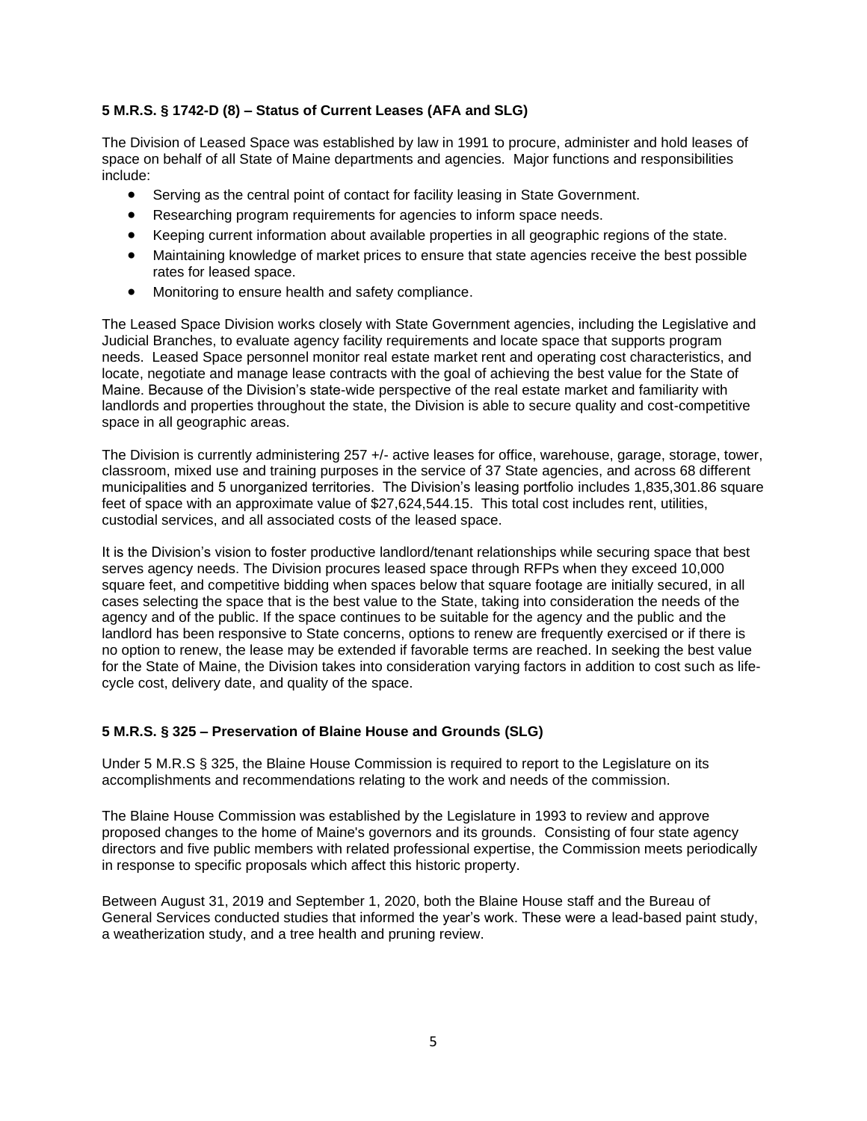## **5 M.R.S. § 1742-D (8) – Status of Current Leases (AFA and SLG)**

The Division of Leased Space was established by law in 1991 to procure, administer and hold leases of space on behalf of all State of Maine departments and agencies. Major functions and responsibilities include:

- Serving as the central point of contact for facility leasing in State Government.
- Researching program requirements for agencies to inform space needs.
- Keeping current information about available properties in all geographic regions of the state.
- Maintaining knowledge of market prices to ensure that state agencies receive the best possible rates for leased space.
- Monitoring to ensure health and safety compliance.

The Leased Space Division works closely with State Government agencies, including the Legislative and Judicial Branches, to evaluate agency facility requirements and locate space that supports program needs. Leased Space personnel monitor real estate market rent and operating cost characteristics, and locate, negotiate and manage lease contracts with the goal of achieving the best value for the State of Maine. Because of the Division's state-wide perspective of the real estate market and familiarity with landlords and properties throughout the state, the Division is able to secure quality and cost-competitive space in all geographic areas.

The Division is currently administering 257 +/- active leases for office, warehouse, garage, storage, tower, classroom, mixed use and training purposes in the service of 37 State agencies, and across 68 different municipalities and 5 unorganized territories. The Division's leasing portfolio includes 1,835,301.86 square feet of space with an approximate value of \$27,624,544.15. This total cost includes rent, utilities, custodial services, and all associated costs of the leased space.

It is the Division's vision to foster productive landlord/tenant relationships while securing space that best serves agency needs. The Division procures leased space through RFPs when they exceed 10,000 square feet, and competitive bidding when spaces below that square footage are initially secured, in all cases selecting the space that is the best value to the State, taking into consideration the needs of the agency and of the public. If the space continues to be suitable for the agency and the public and the landlord has been responsive to State concerns, options to renew are frequently exercised or if there is no option to renew, the lease may be extended if favorable terms are reached. In seeking the best value for the State of Maine, the Division takes into consideration varying factors in addition to cost such as lifecycle cost, delivery date, and quality of the space.

## **5 M.R.S. § 325 – Preservation of Blaine House and Grounds (SLG)**

Under 5 M.R.S § 325, the Blaine House Commission is required to report to the Legislature on its accomplishments and recommendations relating to the work and needs of the commission.

The Blaine House Commission was established by the Legislature in 1993 to review and approve proposed changes to the home of Maine's governors and its grounds. Consisting of four state agency directors and five public members with related professional expertise, the Commission meets periodically in response to specific proposals which affect this historic property.

Between August 31, 2019 and September 1, 2020, both the Blaine House staff and the Bureau of General Services conducted studies that informed the year's work. These were a lead-based paint study, a weatherization study, and a tree health and pruning review.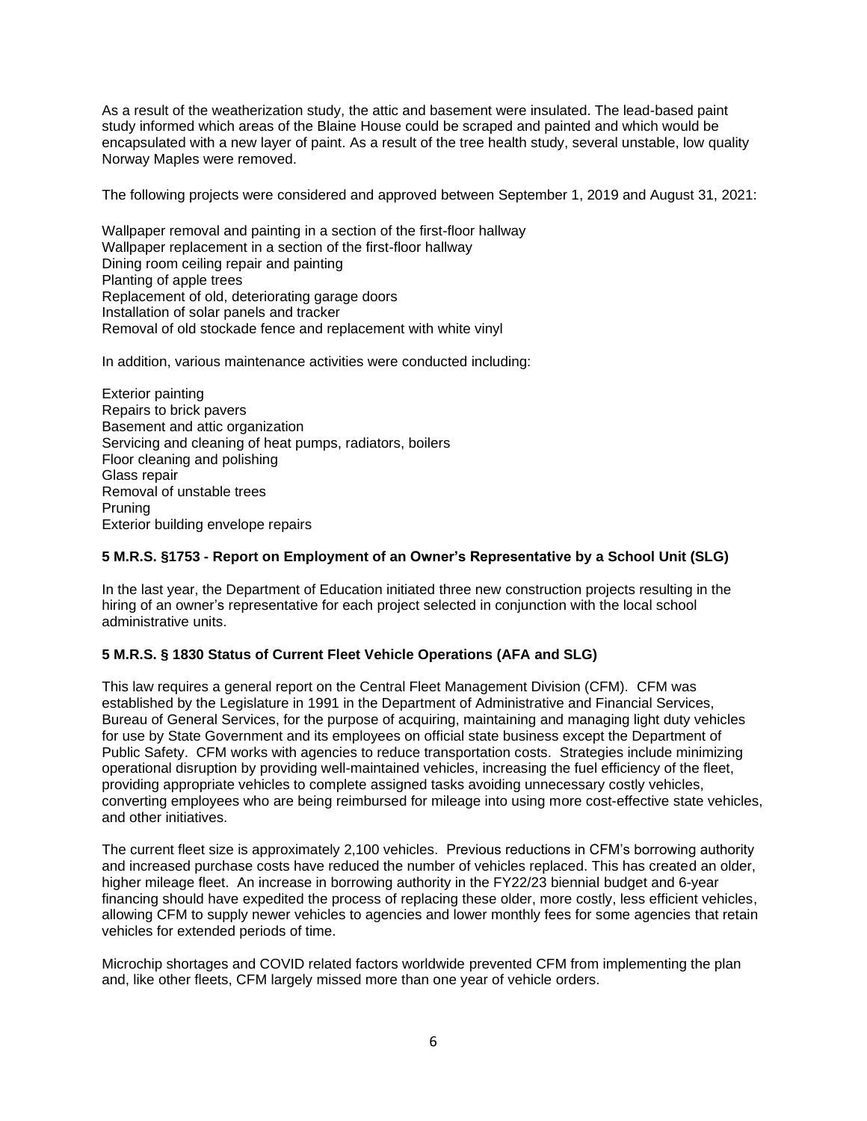As a result of the weatherization study, the attic and basement were insulated. The lead-based paint study informed which areas of the Blaine House could be scraped and painted and which would be encapsulated with a new layer of paint. As a result of the tree health study, several unstable, low quality Norway Maples were removed.

The following projects were considered and approved between September 1, 2019 and August 31, 2021:

Wallpaper removal and painting in a section of the first-floor hallway Wallpaper replacement in a section of the first-floor hallway Dining room ceiling repair and painting Planting of apple trees Replacement of old, deteriorating garage doors Installation of solar panels and tracker Removal of old stockade fence and replacement with white vinyl

In addition, various maintenance activities were conducted including:

Exterior painting Repairs to brick pavers Basement and attic organization Servicing and cleaning of heat pumps, radiators, boilers Floor cleaning and polishing Glass repair Removal of unstable trees Pruning Exterior building envelope repairs

#### **5 M.R.S. §1753 - Report on Employment of an Owner's Representative by a School Unit (SLG)**

In the last year, the Department of Education initiated three new construction projects resulting in the hiring of an owner's representative for each project selected in conjunction with the local school administrative units.

## **5 M.R.S. § 1830 Status of Current Fleet Vehicle Operations (AFA and SLG)**

This law requires a general report on the Central Fleet Management Division (CFM). CFM was established by the Legislature in 1991 in the Department of Administrative and Financial Services, Bureau of General Services, for the purpose of acquiring, maintaining and managing light duty vehicles for use by State Government and its employees on official state business except the Department of Public Safety. CFM works with agencies to reduce transportation costs. Strategies include minimizing operational disruption by providing well-maintained vehicles, increasing the fuel efficiency of the fleet, providing appropriate vehicles to complete assigned tasks avoiding unnecessary costly vehicles, converting employees who are being reimbursed for mileage into using more cost-effective state vehicles, and other initiatives.

The current fleet size is approximately 2,100 vehicles. Previous reductions in CFM's borrowing authority and increased purchase costs have reduced the number of vehicles replaced. This has created an older, higher mileage fleet. An increase in borrowing authority in the FY22/23 biennial budget and 6-year financing should have expedited the process of replacing these older, more costly, less efficient vehicles, allowing CFM to supply newer vehicles to agencies and lower monthly fees for some agencies that retain vehicles for extended periods of time.

Microchip shortages and COVID related factors worldwide prevented CFM from implementing the plan and, like other fleets, CFM largely missed more than one year of vehicle orders.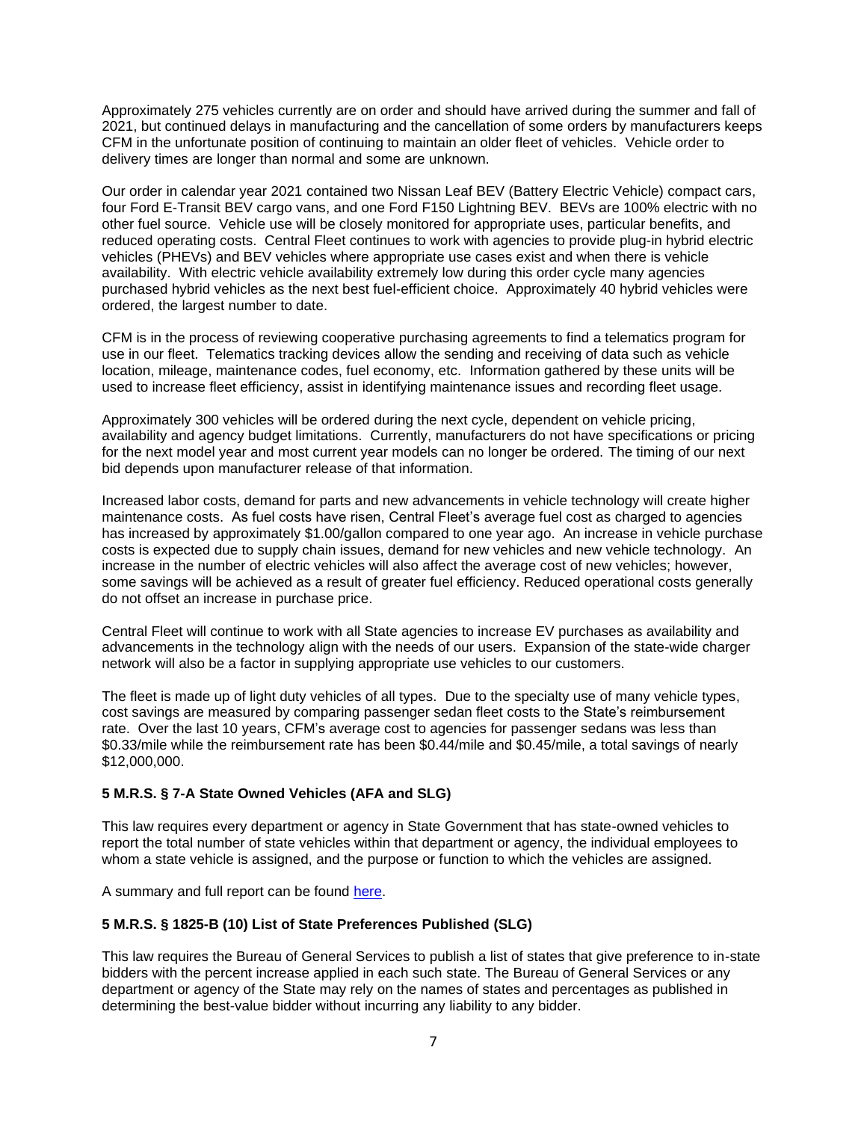Approximately 275 vehicles currently are on order and should have arrived during the summer and fall of 2021, but continued delays in manufacturing and the cancellation of some orders by manufacturers keeps CFM in the unfortunate position of continuing to maintain an older fleet of vehicles. Vehicle order to delivery times are longer than normal and some are unknown.

Our order in calendar year 2021 contained two Nissan Leaf BEV (Battery Electric Vehicle) compact cars, four Ford E-Transit BEV cargo vans, and one Ford F150 Lightning BEV. BEVs are 100% electric with no other fuel source. Vehicle use will be closely monitored for appropriate uses, particular benefits, and reduced operating costs. Central Fleet continues to work with agencies to provide plug-in hybrid electric vehicles (PHEVs) and BEV vehicles where appropriate use cases exist and when there is vehicle availability. With electric vehicle availability extremely low during this order cycle many agencies purchased hybrid vehicles as the next best fuel-efficient choice. Approximately 40 hybrid vehicles were ordered, the largest number to date.

CFM is in the process of reviewing cooperative purchasing agreements to find a telematics program for use in our fleet. Telematics tracking devices allow the sending and receiving of data such as vehicle location, mileage, maintenance codes, fuel economy, etc. Information gathered by these units will be used to increase fleet efficiency, assist in identifying maintenance issues and recording fleet usage.

Approximately 300 vehicles will be ordered during the next cycle, dependent on vehicle pricing, availability and agency budget limitations. Currently, manufacturers do not have specifications or pricing for the next model year and most current year models can no longer be ordered. The timing of our next bid depends upon manufacturer release of that information.

Increased labor costs, demand for parts and new advancements in vehicle technology will create higher maintenance costs. As fuel costs have risen, Central Fleet's average fuel cost as charged to agencies has increased by approximately \$1.00/gallon compared to one year ago. An increase in vehicle purchase costs is expected due to supply chain issues, demand for new vehicles and new vehicle technology. An increase in the number of electric vehicles will also affect the average cost of new vehicles; however, some savings will be achieved as a result of greater fuel efficiency. Reduced operational costs generally do not offset an increase in purchase price.

Central Fleet will continue to work with all State agencies to increase EV purchases as availability and advancements in the technology align with the needs of our users. Expansion of the state-wide charger network will also be a factor in supplying appropriate use vehicles to our customers.

The fleet is made up of light duty vehicles of all types. Due to the specialty use of many vehicle types, cost savings are measured by comparing passenger sedan fleet costs to the State's reimbursement rate. Over the last 10 years, CFM's average cost to agencies for passenger sedans was less than \$0.33/mile while the reimbursement rate has been \$0.44/mile and \$0.45/mile, a total savings of nearly \$12,000,000.

## **5 M.R.S. § 7-A State Owned Vehicles (AFA and SLG)**

This law requires every department or agency in State Government that has state-owned vehicles to report the total number of state vehicles within that department or agency, the individual employees to whom a state vehicle is assigned, and the purpose or function to which the vehicles are assigned.

A summary and full report can be found [here.](https://www.maine.gov/bgs/centralfleet/documents/TITLE-5-ANNUAL-REPORT-2021-Final.pdf)

#### **5 M.R.S. § 1825-B (10) List of State Preferences Published (SLG)**

This law requires the Bureau of General Services to publish a list of states that give preference to in-state bidders with the percent increase applied in each such state. The Bureau of General Services or any department or agency of the State may rely on the names of states and percentages as published in determining the best-value bidder without incurring any liability to any bidder.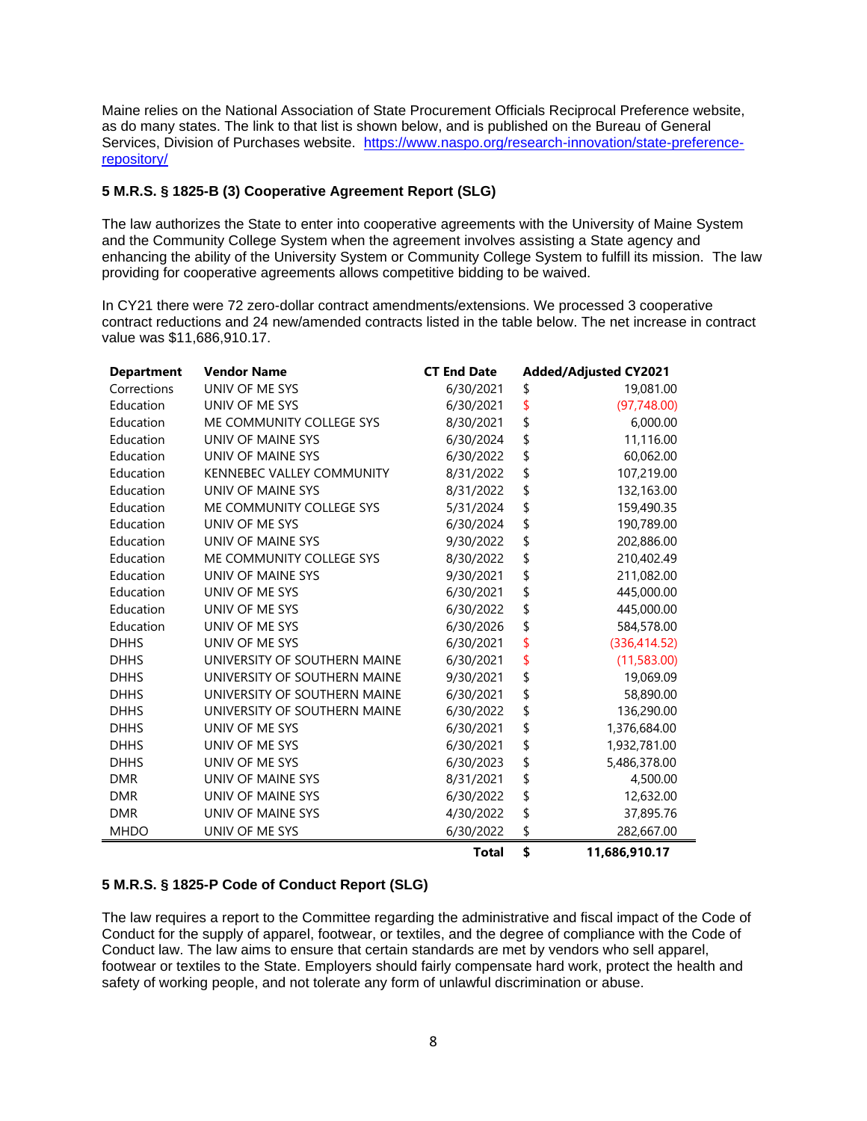Maine relies on the National Association of State Procurement Officials Reciprocal Preference website, as do many states. The link to that list is shown below, and is published on the Bureau of General Services, Division of Purchases website. [https://www.naspo.org/research-innovation/state-preference](https://www.naspo.org/research-innovation/state-preference-repository/)[repository/](https://www.naspo.org/research-innovation/state-preference-repository/)

# **5 M.R.S. § 1825-B (3) Cooperative Agreement Report (SLG)**

The law authorizes the State to enter into cooperative agreements with the University of Maine System and the Community College System when the agreement involves assisting a State agency and enhancing the ability of the University System or Community College System to fulfill its mission. The law providing for cooperative agreements allows competitive bidding to be waived.

In CY21 there were 72 zero-dollar contract amendments/extensions. We processed 3 cooperative contract reductions and 24 new/amended contracts listed in the table below. The net increase in contract value was \$11,686,910.17.

| <b>Department</b> | <b>Vendor Name</b>               | <b>CT End Date</b> | <b>Added/Adjusted CY2021</b> |
|-------------------|----------------------------------|--------------------|------------------------------|
| Corrections       | UNIV OF ME SYS                   | 6/30/2021          | \$<br>19,081.00              |
| Education         | UNIV OF ME SYS                   | 6/30/2021          | \$<br>(97, 748.00)           |
| Education         | ME COMMUNITY COLLEGE SYS         | 8/30/2021          | \$<br>6,000.00               |
| Education         | UNIV OF MAINE SYS                | 6/30/2024          | \$<br>11,116.00              |
| Education         | UNIV OF MAINE SYS                | 6/30/2022          | \$<br>60,062.00              |
| Education         | <b>KENNEBEC VALLEY COMMUNITY</b> | 8/31/2022          | \$<br>107,219.00             |
| Education         | UNIV OF MAINE SYS                | 8/31/2022          | \$<br>132,163.00             |
| Education         | ME COMMUNITY COLLEGE SYS         | 5/31/2024          | \$<br>159,490.35             |
| Education         | UNIV OF ME SYS                   | 6/30/2024          | \$<br>190,789.00             |
| Education         | UNIV OF MAINE SYS                | 9/30/2022          | \$<br>202,886.00             |
| Education         | ME COMMUNITY COLLEGE SYS         | 8/30/2022          | \$<br>210,402.49             |
| Education         | UNIV OF MAINE SYS                | 9/30/2021          | \$<br>211,082.00             |
| Education         | UNIV OF ME SYS                   | 6/30/2021          | \$<br>445,000.00             |
| Education         | UNIV OF ME SYS                   | 6/30/2022          | \$<br>445,000.00             |
| Education         | UNIV OF ME SYS                   | 6/30/2026          | \$<br>584,578.00             |
| <b>DHHS</b>       | UNIV OF ME SYS                   | 6/30/2021          | \$<br>(336, 414.52)          |
| <b>DHHS</b>       | UNIVERSITY OF SOUTHERN MAINE     | 6/30/2021          | \$<br>(11,583.00)            |
| <b>DHHS</b>       | UNIVERSITY OF SOUTHERN MAINE     | 9/30/2021          | \$<br>19,069.09              |
| <b>DHHS</b>       | UNIVERSITY OF SOUTHERN MAINE     | 6/30/2021          | \$<br>58,890.00              |
| <b>DHHS</b>       | UNIVERSITY OF SOUTHERN MAINE     | 6/30/2022          | \$<br>136,290.00             |
| <b>DHHS</b>       | UNIV OF ME SYS                   | 6/30/2021          | \$<br>1,376,684.00           |
| <b>DHHS</b>       | UNIV OF ME SYS                   | 6/30/2021          | \$<br>1,932,781.00           |
| <b>DHHS</b>       | UNIV OF ME SYS                   | 6/30/2023          | \$<br>5,486,378.00           |
| <b>DMR</b>        | UNIV OF MAINE SYS                | 8/31/2021          | \$<br>4,500.00               |
| <b>DMR</b>        | UNIV OF MAINE SYS                | 6/30/2022          | \$<br>12,632.00              |
| <b>DMR</b>        | UNIV OF MAINE SYS                | 4/30/2022          | \$<br>37,895.76              |
| <b>MHDO</b>       | UNIV OF ME SYS                   | 6/30/2022          | \$<br>282,667.00             |
|                   |                                  | Total              | \$<br>11.686.910.17          |

## **5 M.R.S. § 1825-P Code of Conduct Report (SLG)**

The law requires a report to the Committee regarding the administrative and fiscal impact of the Code of Conduct for the supply of apparel, footwear, or textiles, and the degree of compliance with the Code of Conduct law. The law aims to ensure that certain standards are met by vendors who sell apparel, footwear or textiles to the State. Employers should fairly compensate hard work, protect the health and safety of working people, and not tolerate any form of unlawful discrimination or abuse.